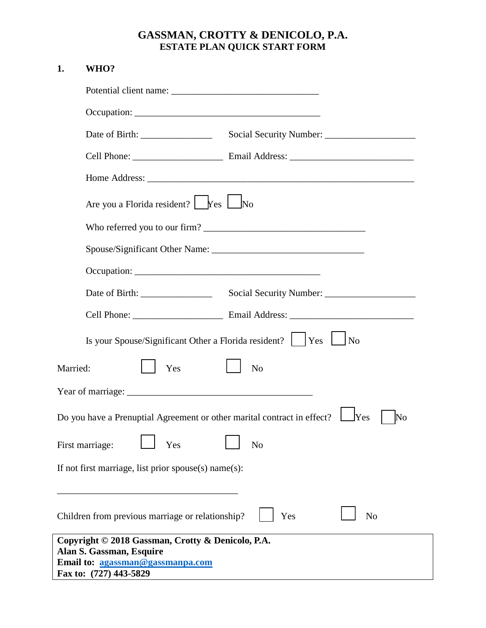## **GASSMAN, CROTTY & DENICOLO, P.A. ESTATE PLAN QUICK START FORM**

## **1. WHO?**

| Are you a Florida resident? $\Gamma$ Yes $\Box$ No                                                                                          |                       |
|---------------------------------------------------------------------------------------------------------------------------------------------|-----------------------|
|                                                                                                                                             |                       |
|                                                                                                                                             |                       |
|                                                                                                                                             |                       |
|                                                                                                                                             |                       |
|                                                                                                                                             |                       |
| Is your Spouse/Significant Other a Florida resident? $\vert \vert$ Yes $\vert \vert$                                                        | No                    |
| Yes<br>Married:                                                                                                                             | N <sub>o</sub>        |
|                                                                                                                                             |                       |
| Do you have a Prenuptial Agreement or other marital contract in effect?                                                                     | <b>Yes</b><br>No      |
| First marriage:<br>Yes                                                                                                                      | No                    |
| If not first marriage, list prior spouse(s) name(s):                                                                                        |                       |
| Children from previous marriage or relationship?                                                                                            | Yes<br>N <sub>o</sub> |
| Copyright © 2018 Gassman, Crotty & Denicolo, P.A.<br>Alan S. Gassman, Esquire<br>Email to: agassman@gassmanpa.com<br>Fax to: (727) 443-5829 |                       |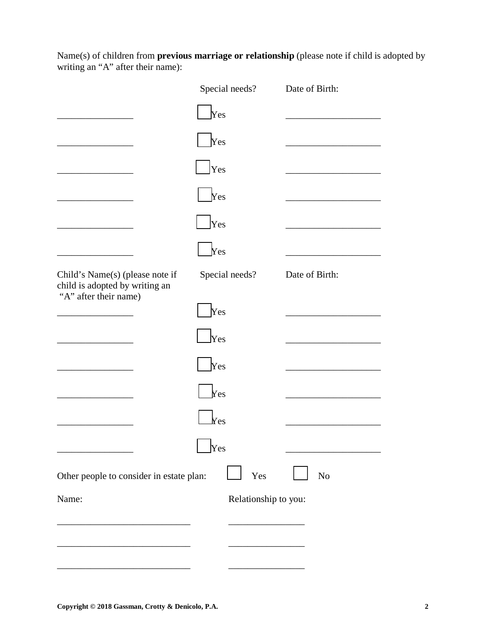Name(s) of children from **previous marriage or relationship** (please note if child is adopted by writing an "A" after their name):

|                                                                   | Special needs?       | Date of Birth: |
|-------------------------------------------------------------------|----------------------|----------------|
|                                                                   | $\gamma$ es          |                |
|                                                                   | Yes                  |                |
|                                                                   | Yes                  |                |
|                                                                   | Yes                  |                |
|                                                                   | Yes                  |                |
|                                                                   | Yes                  |                |
| Child's Name(s) (please note if<br>child is adopted by writing an | Special needs?       | Date of Birth: |
| "A" after their name)                                             | Yes                  |                |
|                                                                   | $ {\rm Yes} $        |                |
|                                                                   | Yes                  |                |
|                                                                   | Yes                  |                |
|                                                                   | $\rm {Yes}$          |                |
|                                                                   | Yes                  |                |
| Other people to consider in estate plan:                          | Yes                  | No             |
| Name:                                                             | Relationship to you: |                |
|                                                                   |                      |                |
|                                                                   |                      |                |
|                                                                   |                      |                |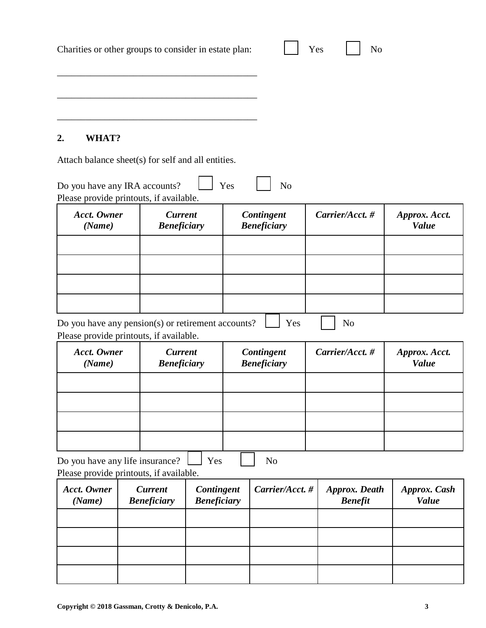| Charities or other groups to consider in estate plan:                                         |                                      |                                  |                 | Yes                              | N <sub>o</sub>                         |                               |
|-----------------------------------------------------------------------------------------------|--------------------------------------|----------------------------------|-----------------|----------------------------------|----------------------------------------|-------------------------------|
|                                                                                               |                                      |                                  |                 |                                  |                                        |                               |
| WHAT?<br>2.                                                                                   |                                      |                                  |                 |                                  |                                        |                               |
| Attach balance sheet(s) for self and all entities.                                            |                                      |                                  |                 |                                  |                                        |                               |
| Do you have any IRA accounts?<br>Please provide printouts, if available.                      |                                      |                                  | Yes             | N <sub>o</sub>                   |                                        |                               |
| <b>Acct.</b> Owner<br>(Name)                                                                  | <b>Current</b><br><b>Beneficiary</b> |                                  |                 | Contingent<br><b>Beneficiary</b> | Carrier/Acct.#                         | Approx. Acct.<br><b>Value</b> |
|                                                                                               |                                      |                                  |                 |                                  |                                        |                               |
|                                                                                               |                                      |                                  |                 |                                  |                                        |                               |
| Do you have any pension(s) or retirement accounts?<br>Please provide printouts, if available. |                                      |                                  |                 | Yes                              | N <sub>o</sub>                         |                               |
| <b>Acct.</b> Owner<br>(Name)                                                                  | <b>Current</b><br><b>Beneficiary</b> |                                  |                 | Contingent<br><b>Beneficiary</b> | Carrier/Acct.#                         | Approx. Acct.<br><b>Value</b> |
|                                                                                               |                                      |                                  |                 |                                  |                                        |                               |
|                                                                                               |                                      |                                  |                 |                                  |                                        |                               |
|                                                                                               |                                      |                                  |                 |                                  |                                        |                               |
| Do you have any life insurance?<br>Please provide printouts, if available.                    |                                      | Yes                              |                 | N <sub>o</sub>                   |                                        |                               |
| <b>Acct.</b> Owner<br>(Name)                                                                  | <b>Current</b><br><b>Beneficiary</b> | Contingent<br><b>Beneficiary</b> | Carrier/Acct. # |                                  | <b>Approx.</b> Death<br><b>Benefit</b> | Approx. Cash<br><b>Value</b>  |
|                                                                                               |                                      |                                  |                 |                                  |                                        |                               |
|                                                                                               |                                      |                                  |                 |                                  |                                        |                               |
|                                                                                               |                                      |                                  |                 |                                  |                                        |                               |
|                                                                                               |                                      |                                  |                 |                                  |                                        |                               |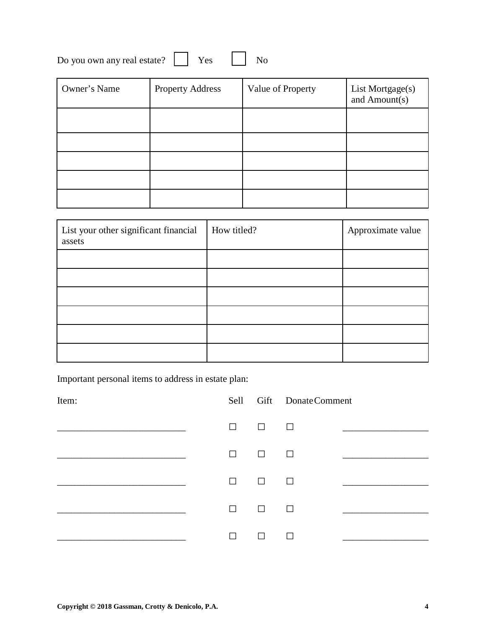| Do you own any real estate? |  |  |  | N <sub>0</sub> |
|-----------------------------|--|--|--|----------------|
|-----------------------------|--|--|--|----------------|

| Owner's Name | <b>Property Address</b> | Value of Property | List Mortgage(s)<br>and Amount(s) |
|--------------|-------------------------|-------------------|-----------------------------------|
|              |                         |                   |                                   |
|              |                         |                   |                                   |
|              |                         |                   |                                   |
|              |                         |                   |                                   |
|              |                         |                   |                                   |

| List your other significant financial<br>assets | How titled? | Approximate value |
|-------------------------------------------------|-------------|-------------------|
|                                                 |             |                   |
|                                                 |             |                   |
|                                                 |             |                   |
|                                                 |             |                   |
|                                                 |             |                   |
|                                                 |             |                   |

Important personal items to address in estate plan:

| Item: |        |        | Sell Gift Donate Comment |  |
|-------|--------|--------|--------------------------|--|
|       | $\Box$ | $\Box$ | □                        |  |
|       | П      | $\Box$ | $\Box$                   |  |
|       | П      | $\Box$ | $\Box$                   |  |
|       | $\Box$ | $\Box$ | $\Box$                   |  |
|       | П      | П      |                          |  |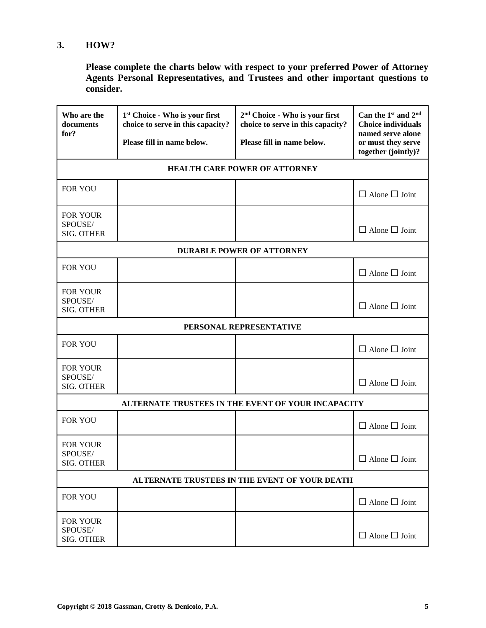## **3. HOW?**

**Please complete the charts below with respect to your preferred Power of Attorney Agents Personal Representatives, and Trustees and other important questions to consider.**

| Who are the<br>documents<br>for?                | 1 <sup>st</sup> Choice - Who is your first<br>choice to serve in this capacity?<br>Please fill in name below. | 2 <sup>nd</sup> Choice - Who is your first<br>choice to serve in this capacity?<br>Please fill in name below. | Can the 1st and 2 <sup>nd</sup><br><b>Choice individuals</b><br>named serve alone<br>or must they serve<br>together (jointly)? |  |  |  |
|-------------------------------------------------|---------------------------------------------------------------------------------------------------------------|---------------------------------------------------------------------------------------------------------------|--------------------------------------------------------------------------------------------------------------------------------|--|--|--|
|                                                 |                                                                                                               | <b>HEALTH CARE POWER OF ATTORNEY</b>                                                                          |                                                                                                                                |  |  |  |
| <b>FOR YOU</b>                                  |                                                                                                               |                                                                                                               | $\Box$ Alone $\Box$ Joint                                                                                                      |  |  |  |
| FOR YOUR<br>SPOUSE/<br><b>SIG. OTHER</b>        |                                                                                                               |                                                                                                               | $\Box$ Alone $\Box$ Joint                                                                                                      |  |  |  |
|                                                 |                                                                                                               | <b>DURABLE POWER OF ATTORNEY</b>                                                                              |                                                                                                                                |  |  |  |
| <b>FOR YOU</b>                                  |                                                                                                               |                                                                                                               | $\Box$ Alone $\Box$ Joint                                                                                                      |  |  |  |
| <b>FOR YOUR</b><br>SPOUSE/<br><b>SIG. OTHER</b> |                                                                                                               |                                                                                                               | $\Box$ Alone $\Box$ Joint                                                                                                      |  |  |  |
|                                                 | PERSONAL REPRESENTATIVE                                                                                       |                                                                                                               |                                                                                                                                |  |  |  |
| <b>FOR YOU</b>                                  |                                                                                                               |                                                                                                               | $\Box$ Alone $\Box$ Joint                                                                                                      |  |  |  |
| FOR YOUR<br>SPOUSE/<br><b>SIG. OTHER</b>        |                                                                                                               |                                                                                                               | $\Box$ Alone $\Box$ Joint                                                                                                      |  |  |  |
|                                                 |                                                                                                               | ALTERNATE TRUSTEES IN THE EVENT OF YOUR INCAPACITY                                                            |                                                                                                                                |  |  |  |
| <b>FOR YOU</b>                                  |                                                                                                               |                                                                                                               | $\Box$ Alone $\Box$ Joint                                                                                                      |  |  |  |
| <b>FOR YOUR</b><br>SPOUSE/<br><b>SIG. OTHER</b> |                                                                                                               |                                                                                                               | $\Box$ Alone $\Box$ Joint                                                                                                      |  |  |  |
|                                                 |                                                                                                               | ALTERNATE TRUSTEES IN THE EVENT OF YOUR DEATH                                                                 |                                                                                                                                |  |  |  |
| FOR YOU                                         |                                                                                                               |                                                                                                               | $\Box$ Alone $\Box$ Joint                                                                                                      |  |  |  |
| FOR YOUR<br>SPOUSE/<br><b>SIG. OTHER</b>        |                                                                                                               |                                                                                                               | $\Box$ Alone $\Box$ Joint                                                                                                      |  |  |  |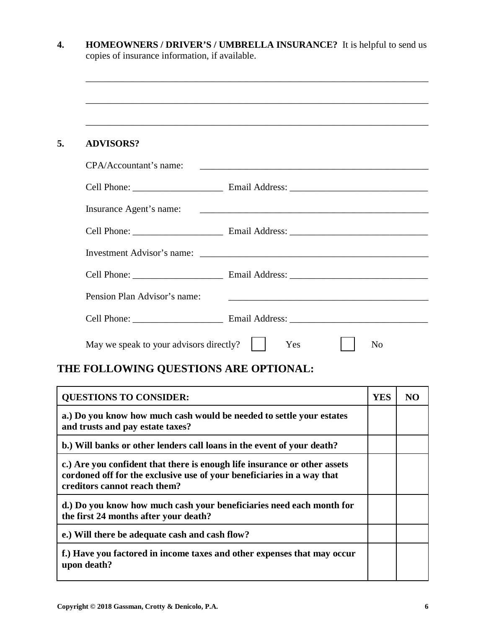|                                         | ,我们也不会有什么。""我们的人,我们也不会有什么?""我们的人,我们也不会有什么?""我们的人,我们也不会有什么?""我们的人,我们也不会有什么?""我们的人                                       |
|-----------------------------------------|------------------------------------------------------------------------------------------------------------------------|
| <b>ADVISORS?</b>                        |                                                                                                                        |
| CPA/Accountant's name:                  | <u> 1980 - Johann Barn, mars ann an t-Amhain ann an t-Amhain an t-Amhain an t-Amhain an t-Amhain an t-Amhain an t-</u> |
|                                         |                                                                                                                        |
|                                         |                                                                                                                        |
|                                         |                                                                                                                        |
|                                         |                                                                                                                        |
|                                         |                                                                                                                        |
| Pension Plan Advisor's name:            | <u> 1989 - Johann Barbara, martin amerikan basal dan berasal dalam basal dalam basal dalam basal dalam basal dala</u>  |
|                                         |                                                                                                                        |
| May we speak to your advisors directly? | Yes<br>N <sub>o</sub>                                                                                                  |

| <b>QUESTIONS TO CONSIDER:</b>                                                                                                                                                       | <b>YES</b> |  |
|-------------------------------------------------------------------------------------------------------------------------------------------------------------------------------------|------------|--|
| a.) Do you know how much cash would be needed to settle your estates<br>and trusts and pay estate taxes?                                                                            |            |  |
| b.) Will banks or other lenders call loans in the event of your death?                                                                                                              |            |  |
| c.) Are you confident that there is enough life insurance or other assets<br>cordoned off for the exclusive use of your beneficiaries in a way that<br>creditors cannot reach them? |            |  |
| d.) Do you know how much cash your beneficiaries need each month for<br>the first 24 months after your death?                                                                       |            |  |
| e.) Will there be adequate cash and cash flow?                                                                                                                                      |            |  |
| f.) Have you factored in income taxes and other expenses that may occur<br>upon death?                                                                                              |            |  |